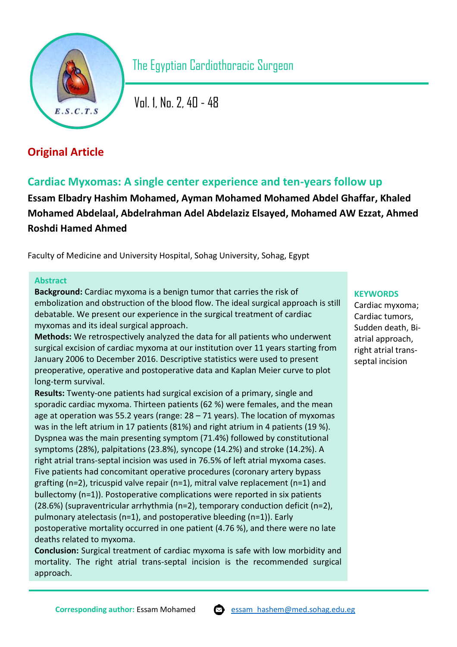

The Egyptian Cardiothoracic Surgeon

Vol. 1, No. 2, 40 - 48

# **Original Article**

# **Cardiac Myxomas: A single center experience and ten-years follow up**

**Essam Elbadry Hashim Mohamed, Ayman Mohamed Mohamed Abdel Ghaffar, Khaled Mohamed Abdelaal, Abdelrahman Adel Abdelaziz Elsayed, Mohamed AW Ezzat, Ahmed Roshdi Hamed Ahmed**

Faculty of Medicine and University Hospital, Sohag University, Sohag, Egypt

# **Abstract**

**Background:** Cardiac myxoma is a benign tumor that carries the risk of embolization and obstruction of the blood flow. The ideal surgical approach is still debatable. We present our experience in the surgical treatment of cardiac myxomas and its ideal surgical approach.

**Methods:** We retrospectively analyzed the data for all patients who underwent surgical excision of cardiac myxoma at our institution over 11 years starting from January 2006 to December 2016. Descriptive statistics were used to present preoperative, operative and postoperative data and Kaplan Meier curve to plot long-term survival.

**Results:** Twenty-one patients had surgical excision of a primary, single and sporadic cardiac myxoma. Thirteen patients (62 %) were females, and the mean age at operation was 55.2 years (range: 28 – 71 years). The location of myxomas was in the left atrium in 17 patients (81%) and right atrium in 4 patients (19 %). Dyspnea was the main presenting symptom (71.4%) followed by constitutional symptoms (28%), palpitations (23.8%), syncope (14.2%) and stroke (14.2%). A right atrial trans-septal incision was used in 76.5% of left atrial myxoma cases. Five patients had concomitant operative procedures (coronary artery bypass grafting (n=2), tricuspid valve repair (n=1), mitral valve replacement (n=1) and bullectomy (n=1)). Postoperative complications were reported in six patients (28.6%) (supraventricular arrhythmia (n=2), temporary conduction deficit (n=2), pulmonary atelectasis (n=1), and postoperative bleeding (n=1)). Early postoperative mortality occurred in one patient (4.76 %), and there were no late deaths related to myxoma.

**Conclusion:** Surgical treatment of cardiac myxoma is safe with low morbidity and mortality. The right atrial trans-septal incision is the recommended surgical approach.

## **KEYWORDS**

Cardiac myxoma; Cardiac tumors, Sudden death, Biatrial approach, right atrial transseptal incision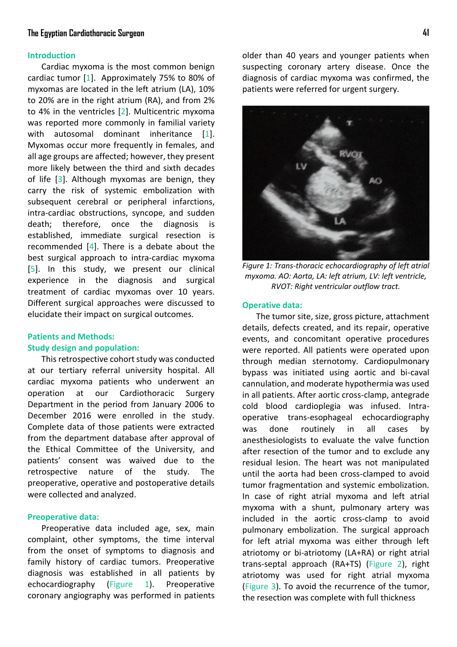## **The Egyptian Cardiothoracic Surgeon 41**

## **Introduction**

Cardiac myxoma is the most common benign cardiac tumor [\[1\]](#page-7-0). Approximately 75% to 80% of myxomas are located in the left atrium (LA), 10% to 20% are in the right atrium (RA), and from 2% to 4% in the ventricles [\[2\]](#page-7-1). Multicentric myxoma was reported more commonly in familial variety with autosomal dominant inheritance [\[1\]](#page-7-0). Myxomas occur more frequently in females, and all age groups are affected; however, they present more likely between the third and sixth decades of l[ife](#page-7-2) [3]. Although myxomas are benign, they carry the risk of systemic embolization with subsequent cerebral or peripheral infarctions, intra-cardiac obstructions, syncope, and sudden death; therefore, once the diagnosis is established, immediate surgical resection [is](#page-7-3) recommended [4]. There is a debate about the best surgical approach to [in](#page-7-4)tra-cardiac myxoma [5]. In this study, we present our clinical experience in the diagnosis and surgical treatment of cardiac myxomas over 10 years. Different surgical approaches were discussed to elucidate their impact on surgical outcomes.

## **Patients and Methods: Study design and population:**

This retrospective cohort study was conducted at our tertiary referral university hospital. All cardiac myxoma patients who underwent an operation at our Cardiothoracic Surgery Department in the period from January 2006 to December 2016 were enrolled in the study. Complete data of those patients were extracted from the department database after approval of the Ethical Committee of the University, and patients' consent was waived due to the retrospective nature of the study. The preoperative, operative and postoperative details were collected and analyzed.

## **Preoperative data:**

Preoperative data included age, sex, main complaint, other symptoms, the time interval from the onset of symptoms to diagnosis and family history of cardiac tumors. Preoperative diagnosis was established in all patients by echocardiography [\(Figure 1\)](#page-1-0). Preoperative coronary angiography was performed in patients older than 40 years and younger patients when suspecting coronary artery disease. Once the diagnosis of cardiac myxoma was confirmed, the patients were referred for urgent surgery.



*Figure 1: Trans-thoracic echocardiography of left atrial myxoma. AO: Aorta, LA: left atrium, LV: left ventricle, RVOT: Right ventricular outflow tract.*

#### <span id="page-1-0"></span>**Operative data:**

The tumor site, size, gross picture, attachment details, defects created, and its repair, operative events, and concomitant operative procedures were reported. All patients were operated upon through median sternotomy. Cardiopulmonary bypass was initiated using aortic and bi-caval cannulation, and moderate hypothermia was used in all patients. After aortic cross-clamp, antegrade cold blood cardioplegia was infused. Intraoperative trans-esophageal echocardiography was done routinely in all cases by anesthesiologists to evaluate the valve function after resection of the tumor and to exclude any residual lesion. The heart was not manipulated until the aorta had been cross-clamped to avoid tumor fragmentation and systemic embolization. In case of right atrial myxoma and left atrial myxoma with a shunt, pulmonary artery was included in the aortic cross-clamp to avoid pulmonary embolization. The surgical approach for left atrial myxoma was either through left atriotomy or bi-atriotomy (LA+RA) or right atrial trans-septal approach (RA+TS) [\(Figure 2\)](#page-2-0), right atriotomy was used for right atrial [myxoma](#page-2-1)  [\(F](#page-2-1)igure 3). To avoid the recurrence of the tumor, the resection was complete with full thickness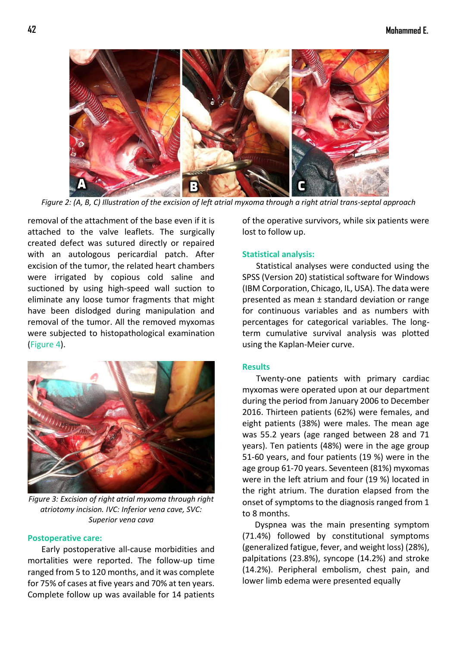

*Figure 2: (A, B, C) Illustration of the excision of left atrial myxoma through a right atrial trans-septal approach*

<span id="page-2-0"></span>removal of the attachment of the base even if it is attached to the valve leaflets. The surgically created defect was sutured directly or repaired with an autologous pericardial patch. After excision of the tumor, the related heart chambers were irrigated by copious cold saline and suctioned by using high-speed wall suction to eliminate any loose tumor fragments that might have been dislodged during manipulation and removal of the tumor. All the removed myxomas were subjected to histopathological examination [\(Figure 4\)](#page-3-0).



*Figure 3: Excision of right atrial myxoma through right atriotomy incision. IVC: Inferior vena cave, SVC: Superior vena cava*

### <span id="page-2-1"></span>**Postoperative care:**

Early postoperative all-cause morbidities and mortalities were reported. The follow-up time ranged from 5 to 120 months, and it was complete for 75% of cases at five years and 70% at ten years. Complete follow up was available for 14 patients of the operative survivors, while six patients were lost to follow up.

## **Statistical analysis:**

Statistical analyses were conducted using the SPSS (Version 20) statistical software for Windows (IBM Corporation, Chicago, IL, USA). The data were presented as mean ± standard deviation or range for continuous variables and as numbers with percentages for categorical variables. The longterm cumulative survival analysis was plotted using the Kaplan-Meier curve.

## **Results**

Twenty-one patients with primary cardiac myxomas were operated upon at our department during the period from January 2006 to December 2016. Thirteen patients (62%) were females, and eight patients (38%) were males. The mean age was 55.2 years (age ranged between 28 and 71 years). Ten patients (48%) were in the age group 51-60 years, and four patients (19 %) were in the age group 61-70 years. Seventeen (81%) myxomas were in the left atrium and four (19 %) located in the right atrium. The duration elapsed from the onset of symptoms to the diagnosis ranged from 1 to 8 months.

Dyspnea was the main presenting symptom (71.4%) followed by constitutional symptoms (generalized fatigue, fever, and weight loss) (28%), palpitations (23.8%), syncope (14.2%) and stroke (14.2%). Peripheral embolism, chest pain, and lower limb edema were presented equally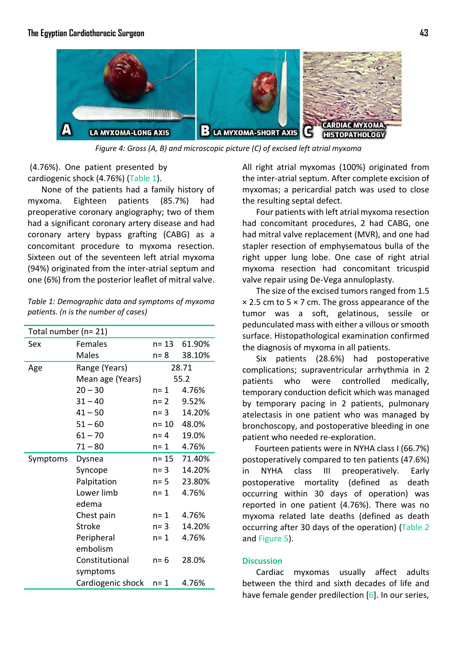

*Figure 4: Gross (A, B) and microscopic picture (C) of excised left atrial myxoma*

<span id="page-3-0"></span>(4.76%). One patient presented by cardiogenic sh[ock \(4.76](#page-3-1)%) (Table 1).

None of the patients had a family history of myxoma. Eighteen patients (85.7%) had preoperative coronary angiography; two of them had a significant coronary artery disease and had coronary artery bypass grafting (CABG) as a concomitant procedure to myxoma resection. Sixteen out of the seventeen left atrial myxoma (94%) originated from the inter-atrial septum and one (6%) from the posterior leaflet of mitral valve.

<span id="page-3-1"></span>*Table 1: Demographic data and symptoms of myxoma patients. (n is the number of cases)*

| Total number (n= 21) |                   |         |        |  |  |  |
|----------------------|-------------------|---------|--------|--|--|--|
| Sex                  | Females           | n= 13   | 61.90% |  |  |  |
|                      | <b>Males</b>      | $n = 8$ | 38.10% |  |  |  |
| Age                  | Range (Years)     | 28.71   |        |  |  |  |
|                      | Mean age (Years)  | 55.2    |        |  |  |  |
|                      | $20 - 30$         | $n = 1$ | 4.76%  |  |  |  |
|                      | $31 - 40$         | $n=2$   | 9.52%  |  |  |  |
|                      | $41 - 50$         | $n=3$   | 14.20% |  |  |  |
|                      | $51 - 60$         | n= 10   | 48.0%  |  |  |  |
|                      | $61 - 70$         | $n = 4$ | 19.0%  |  |  |  |
|                      | $71 - 80$         | n= 1    | 4.76%  |  |  |  |
| Symptoms             | Dysnea            | n= 15   | 71.40% |  |  |  |
|                      | Syncope           | $n = 3$ | 14.20% |  |  |  |
|                      | Palpitation       | $n = 5$ | 23.80% |  |  |  |
|                      | Lower limb        | $n = 1$ | 4.76%  |  |  |  |
|                      | edema             |         |        |  |  |  |
|                      | Chest pain        | $n = 1$ | 4.76%  |  |  |  |
|                      | Stroke            | $n=3$   | 14.20% |  |  |  |
|                      | Peripheral        | $n = 1$ | 4.76%  |  |  |  |
|                      | embolism          |         |        |  |  |  |
|                      | Constitutional    | $n = 6$ | 28.0%  |  |  |  |
|                      | symptoms          |         |        |  |  |  |
|                      | Cardiogenic shock | n= 1    | 4.76%  |  |  |  |

All right atrial myxomas (100%) originated from the inter-atrial septum. After complete excision of myxomas; a pericardial patch was used to close the resulting septal defect.

Four patients with left atrial myxoma resection had concomitant procedures, 2 had CABG, one had mitral valve replacement (MVR), and one had stapler resection of emphysematous bulla of the right upper lung lobe. One case of right atrial myxoma resection had concomitant tricuspid valve repair using De-Vega annuloplasty.

The size of the excised tumors ranged from 1.5  $\times$  2.5 cm to 5  $\times$  7 cm. The gross appearance of the tumor was a soft, gelatinous, sessile or pedunculated mass with either a villous or smooth surface. Histopathological examination confirmed the diagnosis of myxoma in all patients.

Six patients (28.6%) had postoperative complications; supraventricular arrhythmia in 2 patients who were controlled medically, temporary conduction deficit which was managed by temporary pacing in 2 patients, pulmonary atelectasis in one patient who was managed by bronchoscopy, and postoperative bleeding in one patient who needed re-exploration.

 Fourteen patients were in NYHA class I (66.7%) postoperatively compared to ten patients (47.6%) in NYHA class III preoperatively. Early postoperative mortality (defined as death occurring within 30 days of operation) was reported in one patient (4.76%). There was no myxoma related late deaths (defined as death occurring after 30 days of the operation) [\(Table 2](#page-5-0) and [Figure 5\)](#page-4-0).

## **Discussion**

Cardiac myxomas usually affect adults between the third and sixth decades of life and have female gender predilection [\[6\]](#page-7-5). In our series,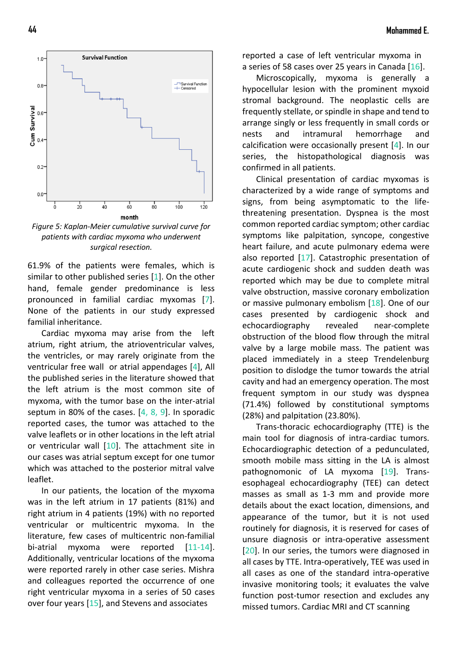

<span id="page-4-0"></span>*Figure 5: Kaplan-Meier cumulative survival curve for patients with cardiac myxoma who underwent surgical resection.*

61.9% of the patients were females, which is similar to other published series [\[1\]](#page-7-0). On the other hand, female gender predominance is less pronounced in familial cardiac myxo[ma](#page-7-6)s [7]. None of the patients in our study expressed familial inheritance.

Cardiac myxoma may arise from the left atrium, right atrium, the atrioventricular valves, the ventricles, or may rarely originate from the ventricular free wall or atrial appendages [\[4\]](#page-7-3), All the published series in the literature showed that the left atrium is the most common site of myxoma, with the tumor base on the inter-atrial septum in 80% of the cases.  $[4, 8, 9]$  $[4, 8, 9]$  $[4, 8, 9]$ . In sporadic reported cases, the tumor was attached to the valve leaflets or in other locations in the left atrial or ventricular wall  $[10]$ . The attachment site in our cases was atrial septum except for one tumor which was attached to the posterior mitral valve leaflet.

In our patients, the location of the myxoma was in the left atrium in 17 patients (81%) and right atrium in 4 patients (19%) with no reported ventricular or multicentric myxoma. In the literature, few cases of multicentric non-familial bi-atrial myxoma were reported [\[11](#page-8-3)[-14\]](#page-8-4). Additionally, ventricular locations of the myxoma were reported rarely in other case series. Mishra and colleagues reported the occurrence of one right ventricular myxoma in a series of 50 cases over four years [[15\],](#page-8-5) and Stevens and associates

**44 Mohammed E.**

reported a case of left ventricular myxoma in a series of 58 cases over 25 years in Canad[a \[1](#page-8-6)6].

Microscopically, myxoma is generally a hypocellular lesion with the prominent myxoid stromal background. The neoplastic cells are frequently stellate, or spindle in shape and tend to arrange singly or less frequently in small cords or nests and intramural hemorrhage and calcification were occasion[ally](#page-7-3) present [4]. In our series, the histopathological diagnosis was confirmed in all patients.

Clinical presentation of cardiac myxomas is characterized by a wide range of symptoms and signs, from being asymptomatic to the lifethreatening presentation. Dyspnea is the most common reported cardiac symptom; other cardiac symptoms like palpitation, syncope, congestive heart failure, and acute pulmonary edema were also reported [\[17\]](#page-8-7). Catastrophic presentation of acute cardiogenic shock and sudden death was reported which may be due to complete mitral valve obstruction, massive coronary embolization or massive pulmonary embolism [\[18\]](#page-8-8). One of our cases presented by cardiogenic shock and echocardiography revealed near-complete obstruction of the blood flow through the mitral valve by a large mobile mass. The patient was placed immediately in a steep Trendelenburg position to dislodge the tumor towards the atrial cavity and had an emergency operation. The most frequent symptom in our study was dyspnea (71.4%) followed by constitutional symptoms (28%) and palpitation (23.80%).

Trans-thoracic echocardiography (TTE) is the main tool for diagnosis of intra-cardiac tumors. Echocardiographic detection of a pedunculated, smooth mobile mass sitting in the LA is almost pathognomonic of LA myxoma [\[19\]](#page-8-9). Transesophageal echocardiography (TEE) can detect masses as small as 1-3 mm and provide more details about the exact location, dimensions, and appearance of the tumor, but it is not used routinely for diagnosis, it is reserved for cases of unsure diagnosis or intra-operative assessment [\[20\]](#page-8-10). In our series, the tumors were diagnosed in all cases by TTE. Intra-operatively, TEE was used in all cases as one of the standard intra-operative invasive monitoring tools; it evaluates the valve function post-tumor resection and excludes any missed tumors. Cardiac MRI and CT scanning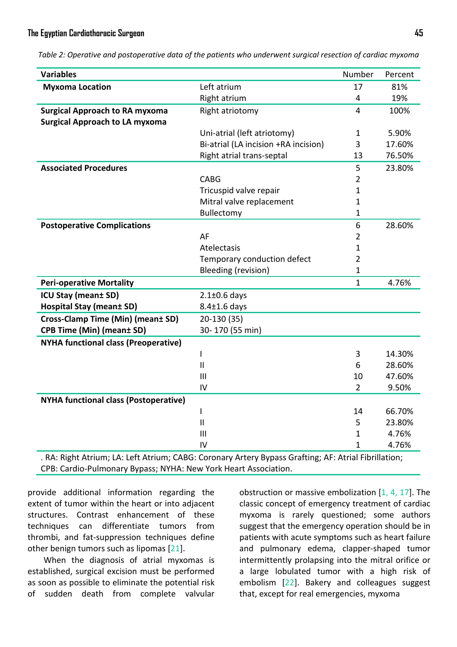<span id="page-5-0"></span>

|  |  |  |  | Table 2: Operative and postoperative data of the patients who underwent surgical resection of cardiac myxoma |
|--|--|--|--|--------------------------------------------------------------------------------------------------------------|
|--|--|--|--|--------------------------------------------------------------------------------------------------------------|

| <b>Variables</b>                             |                                      | Number         | Percent |
|----------------------------------------------|--------------------------------------|----------------|---------|
| <b>Myxoma Location</b>                       | Left atrium                          | 17             | 81%     |
|                                              | Right atrium                         | 4              | 19%     |
| <b>Surgical Approach to RA myxoma</b>        | Right atriotomy                      | $\overline{4}$ | 100%    |
| <b>Surgical Approach to LA myxoma</b>        |                                      |                |         |
|                                              | Uni-atrial (left atriotomy)          | $\mathbf{1}$   | 5.90%   |
|                                              | Bi-atrial (LA incision +RA incision) | 3              | 17.60%  |
|                                              | Right atrial trans-septal            | 13             | 76.50%  |
| <b>Associated Procedures</b>                 |                                      | 5              | 23.80%  |
|                                              | <b>CABG</b>                          | $\overline{2}$ |         |
|                                              | Tricuspid valve repair               | 1              |         |
|                                              | Mitral valve replacement             | 1              |         |
|                                              | Bullectomy                           | 1              |         |
| <b>Postoperative Complications</b>           |                                      | 6              | 28.60%  |
|                                              | AF                                   | $\overline{2}$ |         |
|                                              | Atelectasis                          | 1              |         |
|                                              | Temporary conduction defect          | $\overline{2}$ |         |
|                                              | Bleeding (revision)                  | 1              |         |
| <b>Peri-operative Mortality</b>              |                                      | 1              | 4.76%   |
| <b>ICU Stay (mean± SD)</b>                   | $2.1\pm0.6$ days                     |                |         |
| <b>Hospital Stay (mean± SD)</b>              | $8.4 \pm 1.6$ days                   |                |         |
| Cross-Clamp Time (Min) (mean± SD)            | 20-130 (35)                          |                |         |
| <b>CPB Time (Min) (mean± SD)</b>             | 30-170 (55 min)                      |                |         |
| <b>NYHA functional class (Preoperative)</b>  |                                      |                |         |
|                                              | ı                                    | 3              | 14.30%  |
|                                              | $\mathbf{II}$                        | 6              | 28.60%  |
|                                              | III                                  | 10             | 47.60%  |
|                                              | IV                                   | $\overline{2}$ | 9.50%   |
| <b>NYHA functional class (Postoperative)</b> |                                      |                |         |
|                                              | I                                    | 14             | 66.70%  |
|                                              | $\mathbf{I}$                         | 5              | 23.80%  |
|                                              | III                                  | 1              | 4.76%   |
|                                              | IV                                   | $\mathbf{1}$   | 4.76%   |

. RA: Right Atrium; LA: Left Atrium; CABG: Coronary Artery Bypass Grafting; AF: Atrial Fibrillation; CPB: Cardio-Pulmonary Bypass; NYHA: New York Heart Association.

provide additional information regarding the extent of tumor within the heart or into adjacent structures. Contrast enhancement of these techniques can differentiate tumors from thrombi, and fat-suppression techniques define other benign tumors such as lipomas [\[21\]](#page-8-11).

When the diagnosis of atrial myxomas is established, surgical excision must be performed as soon as possible to eliminate the potential risk of sudden death from complete valvular obstruction or massive embolization  $[1, 4, 17]$  $[1, 4, 17]$  $[1, 4, 17]$ . The classic concept of emergency treatment of cardiac myxoma is rarely questioned; some authors suggest that the emergency operation should be in patients with acute symptoms such as heart failure and pulmonary edema, clapper-shaped tumor intermittently prolapsing into the mitral orifice or a large lobulated tumor with a high risk of embolism [2[2\]. B](#page-8-12)akery and colleagues suggest that, except for real emergencies, myxoma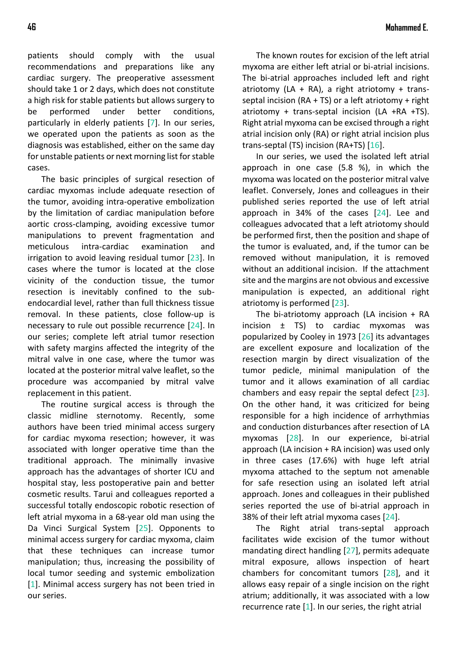patients should comply with the usual recommendations and preparations like any cardiac surgery. The preoperative assessment should take 1 or 2 days, which does not constitute a high risk for stable patients but allows surgery to be performed under better conditions, particularly in elderly patient[s \[](#page-7-6)7]. In our series, we operated upon the patients as soon as the diagnosis was established, either on the same day for unstable patients or next morning list for stable cases.

The basic principles of surgical resection of cardiac myxomas include adequate resection of the tumor, avoiding intra-operative embolization by the limitation of cardiac manipulation before aortic cross-clamping, avoiding excessive tumor manipulations to prevent fragmentation and meticulous intra-cardiac examination and irrigation to avoid leaving residual tumor [\[23\]](#page-8-13). In cases where the tumor is located at the close vicinity of the conduction tissue, the tumor resection is inevitably confined to the subendocardial level, rather than full thickness tissue removal. In these patients, close follow-up is necessary to rule out possible recurrence [\[24\]](#page-8-14). In our series; complete left atrial tumor resection with safety margins affected the integrity of the mitral valve in one case, where the tumor was located at the posterior mitral valve leaflet, so the procedure was accompanied by mitral valve replacement in this patient.

The routine surgical access is through the classic midline sternotomy. Recently, some authors have been tried minimal access surgery for cardiac myxoma resection; however, it was associated with longer operative time than the traditional approach. The minimally invasive approach has the advantages of shorter ICU and hospital stay, less postoperative pain and better cosmetic results. Tarui and colleagues reported a successful totally endoscopic robotic resection of left atrial myxoma in a 68-year old man using the Da Vinci Surgical System [\[25\]](#page-8-15). Opponents to minimal access surgery for cardiac myxoma, claim that these techniques can increase tumor manipulation; thus, increasing the possibility of local tumor seeding and systemic embolization [\[1\]](#page-7-0). Minimal access surgery has not been tried in our series.

The known routes for excision of the left atrial myxoma are either left atrial or bi-atrial incisions. The bi-atrial approaches included left and right atriotomy (LA + RA), a right atriotomy + transseptal incision ( $RA + TS$ ) or a left atriotomy + right atriotomy + trans-septal incision (LA +RA +TS). Right atrial myxoma can be excised through a right atrial incision only (RA) or right atrial incision plus trans-septal (TS) incision (RA+TS)  $[16]$ .

In our series, we used the isolated left atrial approach in one case (5.8 %), in which the myxoma was located on the posterior mitral valve leaflet. Conversely, Jones and colleagues in their published series reported the use of left atrial approach in 34% of the cases [\[24\]](#page-8-14). Lee and colleagues advocated that a left atriotomy should be performed first, then the position and shape of the tumor is evaluated, and, if the tumor can be removed without manipulation, it is removed without an additional incision. If the attachment site and the margins are not obvious and excessive manipulation is expected, an additional right atriotomy is performed [\[23\]](#page-8-13).

The bi-atriotomy approach (LA incision + RA incision  $\pm$  TS) to cardiac myxomas was popularized by Co[oley](#page-8-16) in 1973 [26] its advantages are excellent exposure and localization of the resection margin by direct visualization of the tumor pedicle, minimal manipulation of the tumor and it allows examination of all cardiac chambers and easy rep[air t](#page-8-13)he septal defect [23]. On the other hand, it was criticized for being responsible for a high incidence of arrhythmias and conduction disturbances after resection [of LA](#page-8-17) myxomas [28]. In our experience, bi-atrial approach (LA incision + RA incision) was used only in three cases (17.6%) with huge left atrial myxoma attached to the septum not amenable for safe resection using an isolated left atrial approach. Jones and colleagues in their published series reported the use of bi-atrial approach in 38% o[f th](#page-8-14)eir left atrial myxoma cases [24].

The Right atrial trans-septal approach facilitates wide excision of the tumor without mandating direct handling [\[27\]](#page-8-18), permits adequate mitral exposure, allows inspection of heart chambers for concomitant tumors [\[28\]](#page-8-17), and it allows easy repair of a single incision on the right atrium; additionally, it was associated with a low recurrence rate  $[1]$ . In our series, the right atrial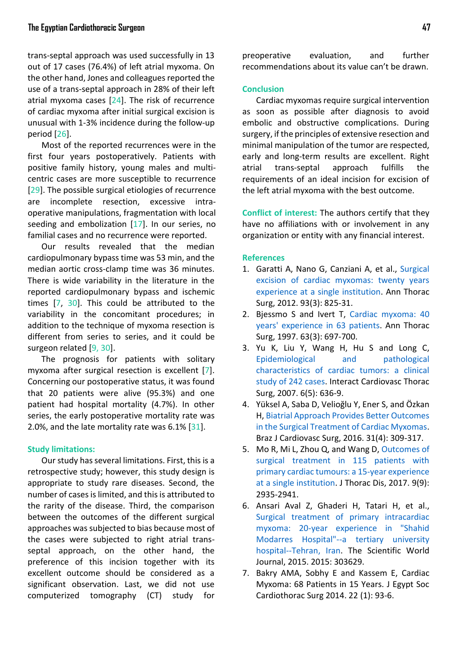trans-septal approach was used successfully in 13 out of 17 cases (76.4%) of left atrial myxoma. On the other hand, Jones and colleagues reported the use of a trans-septal approach in 28% of their left atrial myxoma cases [\[24](#page-8-14)]. The risk of recurrence of cardiac myxoma after initial surgical excision is unusual with 1-3% incidence during the follow-up period [\[26\]](#page-8-16).

Most of the reported recurrences were in the first four years postoperatively. Patients with positive family history, young males and multicentric cases are more susceptible to recurrence [\[29\]](#page-8-19). The possible surgical etiologies of recurrence are incomplete resection, excessive intraoperative manipulations, fragmentation with local seeding and embolization [\[17\]](#page-8-7). In our series, no familial cases and no recurrence were reported.

Our results revealed that the median cardiopulmonary bypass time was 53 min, and the median aortic cross-clamp time was 36 minutes. There is wide variability in the literature in the reported cardiopulmonary bypass and ischemic times [\[7,](#page-7-6) [30\]](#page-8-20). This could be attributed to the variability in the concomitant procedures; in addition to the technique of myxoma resection is different from series to series, and it could be surgeon related [\[9,](#page-8-1) [30\]](#page-8-20).

The prognosis for patients with solitary myxoma after surgical resection is excellent [\[7\]](#page-7-6). Concerning our postoperative status, it was found that 20 patients were alive (95.3%) and one patient had hospital mortality (4.7%). In other series, the early postoperative mortality rate was 2.0%, and the late mortality rate was 6.1% [\[31\]](#page-8-21).

## **Study limitations:**

Our study has several limitations. First, this is a retrospective study; however, this study design is appropriate to study rare diseases. Second, the number of cases is limited, and this is attributed to the rarity of the disease. Third, the comparison between the outcomes of the different surgical approaches was subjected to bias because most of the cases were subjected to right atrial transseptal approach, on the other hand, the preference of this incision together with its excellent outcome should be considered as a significant observation. Last, we did not use computerized tomography (CT) study for

preoperative evaluation, and further recommendations about its value can't be drawn.

## **Conclusion**

Cardiac myxomas require surgical intervention as soon as possible after diagnosis to avoid embolic and obstructive complications. During surgery, if the principles of extensive resection and minimal manipulation of the tumor are respected, early and long-term results are excellent. Right atrial trans-septal approach fulfills the requirements of an ideal incision for excision of the left atrial myxoma with the best outcome.

**Conflict of interest:** The authors certify that they have no affiliations with or involvement in any organization or entity with any financial interest.

## **References**

- <span id="page-7-0"></span>1. Garatti A, Nano G, Canziani A, et al., [Surgical](https://www.sciencedirect.com/science/article/pii/S0003497511026324) [excision of cardiac myxomas: twenty years](https://www.sciencedirect.com/science/article/pii/S0003497511026324) [experience at a single institution.](https://www.sciencedirect.com/science/article/pii/S0003497511026324) Ann Thorac Surg, 2012. 93(3): 825-31.
- <span id="page-7-1"></span>2. Bjessmo S and Ivert T, [Cardiac myxoma: 40](https://www.sciencedirect.com/science/article/pii/S0003497596013689) [years' experience in 63 patients.](https://www.sciencedirect.com/science/article/pii/S0003497596013689) Ann Thorac Surg, 1997. 63(3): 697-700.
- <span id="page-7-2"></span>3. Yu K, Liu Y, Wang H, Hu S and Long C, [Epidemiological and pathological](https://academic.oup.com/icvts/article/6/5/636/648160) [characteristics of cardiac tumors: a clinical](https://academic.oup.com/icvts/article/6/5/636/648160) [study of 242 cases.](https://academic.oup.com/icvts/article/6/5/636/648160) Interact Cardiovasc Thorac Surg, 2007. 6(5): 636-9.
- <span id="page-7-3"></span>4. Yüksel A, Saba D, Velioğlu Y, Ener S, and Özkan H, [Biatrial Approach Provides Better Outcomes](http://www.scielo.br/scielo.php?pid=S0102-76382016000400309&script=sci_arttext) [in the Surgical Treatment of Cardiac Myxomas.](http://www.scielo.br/scielo.php?pid=S0102-76382016000400309&script=sci_arttext) Braz J Cardiovasc Surg, 2016. 31(4): 309-317.
- <span id="page-7-4"></span>5. Mo R, Mi L, Zhou Q, and Wang D, [Outcomes of](https://www.ncbi.nlm.nih.gov/pmc/articles/PMC5708432/) [surgical treatment in 115 patients with](https://www.ncbi.nlm.nih.gov/pmc/articles/PMC5708432/) [primary cardiac tumours: a 15-year experience](https://www.ncbi.nlm.nih.gov/pmc/articles/PMC5708432/) [at a single institution.](https://www.ncbi.nlm.nih.gov/pmc/articles/PMC5708432/) J Thorac Dis, 2017. 9(9): 2935-2941.
- <span id="page-7-5"></span>6. Ansari Aval Z, Ghaderi H, Tatari H, et al., [Surgical treatment of primary intracardiac](https://www.hindawi.com/journals/tswj/2015/303629/abs/) [myxoma: 20-year experience in "Shahid](https://www.hindawi.com/journals/tswj/2015/303629/abs/) [Modarres Hospital"--a tertiary university](https://www.hindawi.com/journals/tswj/2015/303629/abs/) [hospital--Tehran, Iran.](https://www.hindawi.com/journals/tswj/2015/303629/abs/) The Scientific World Journal, 2015. 2015: 303629.
- <span id="page-7-6"></span>7. Bakry AMA, Sobhy E and Kassem E, Cardiac Myxoma: 68 Patients in 15 Years. J Egypt Soc Cardiothorac Surg 2014. 22 (1): 93-6.